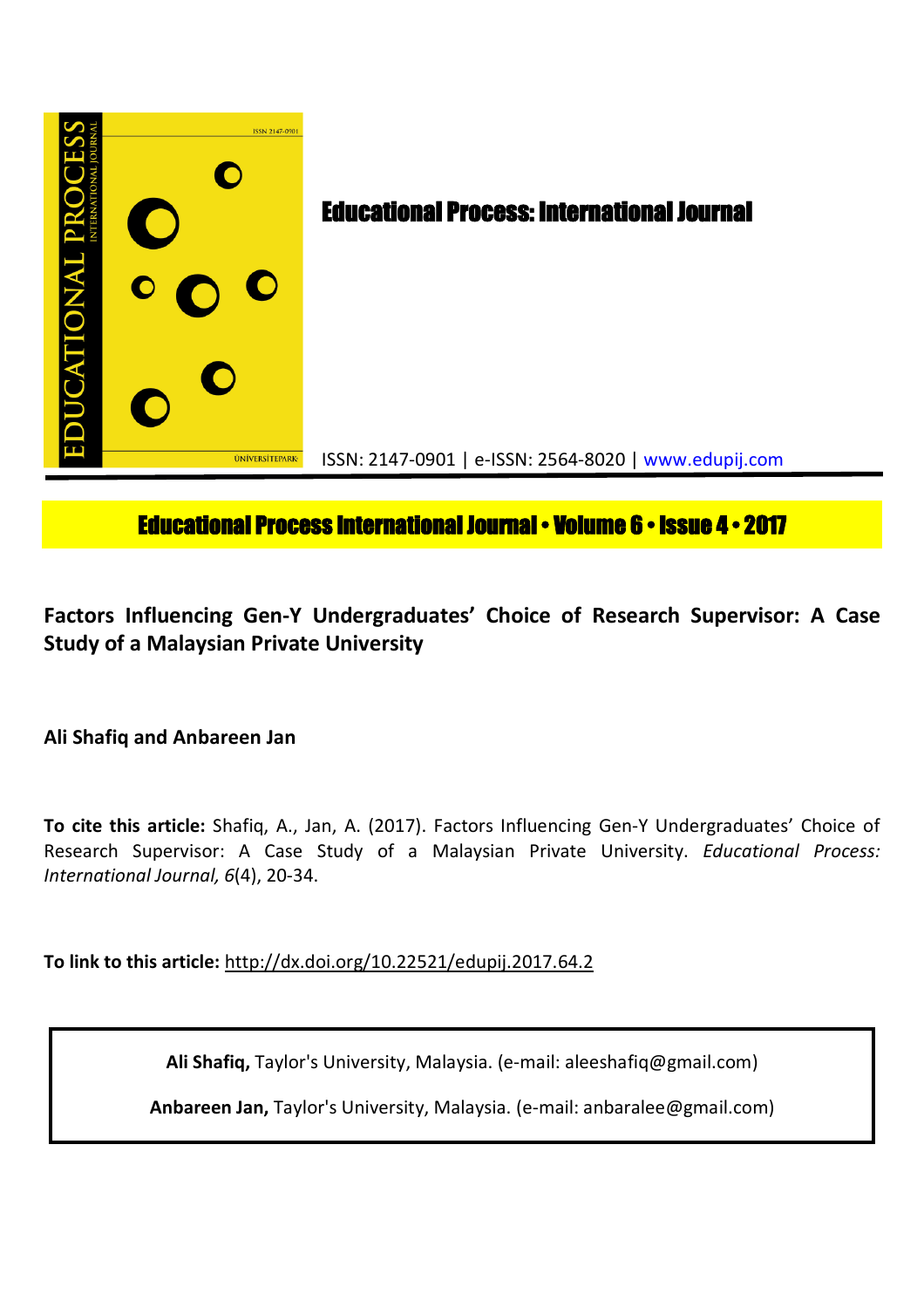

# **Educational Process International Journal • Volume 6 • Issue 4 • 2017**

**Factors Influencing Gen-Y Undergraduates' Choice of Research Supervisor: A Case Study of a Malaysian Private University**

**Ali Shafiq and Anbareen Jan**

**To cite this article:** Shafiq, A., Jan, A. (2017). Factors Influencing Gen-Y Undergraduates' Choice of Research Supervisor: A Case Study of a Malaysian Private University. *Educational Process: International Journal, 6*(4), 20-34.

**To link to this article:** http://dx.doi.org/10.22521/edupij.2017.64.2

**Ali Shafiq,** Taylor's University, Malaysia. (e-mail: aleeshafiq@gmail.com)

**Anbareen Jan,** Taylor's University, Malaysia. (e-mail: anbaralee@gmail.com)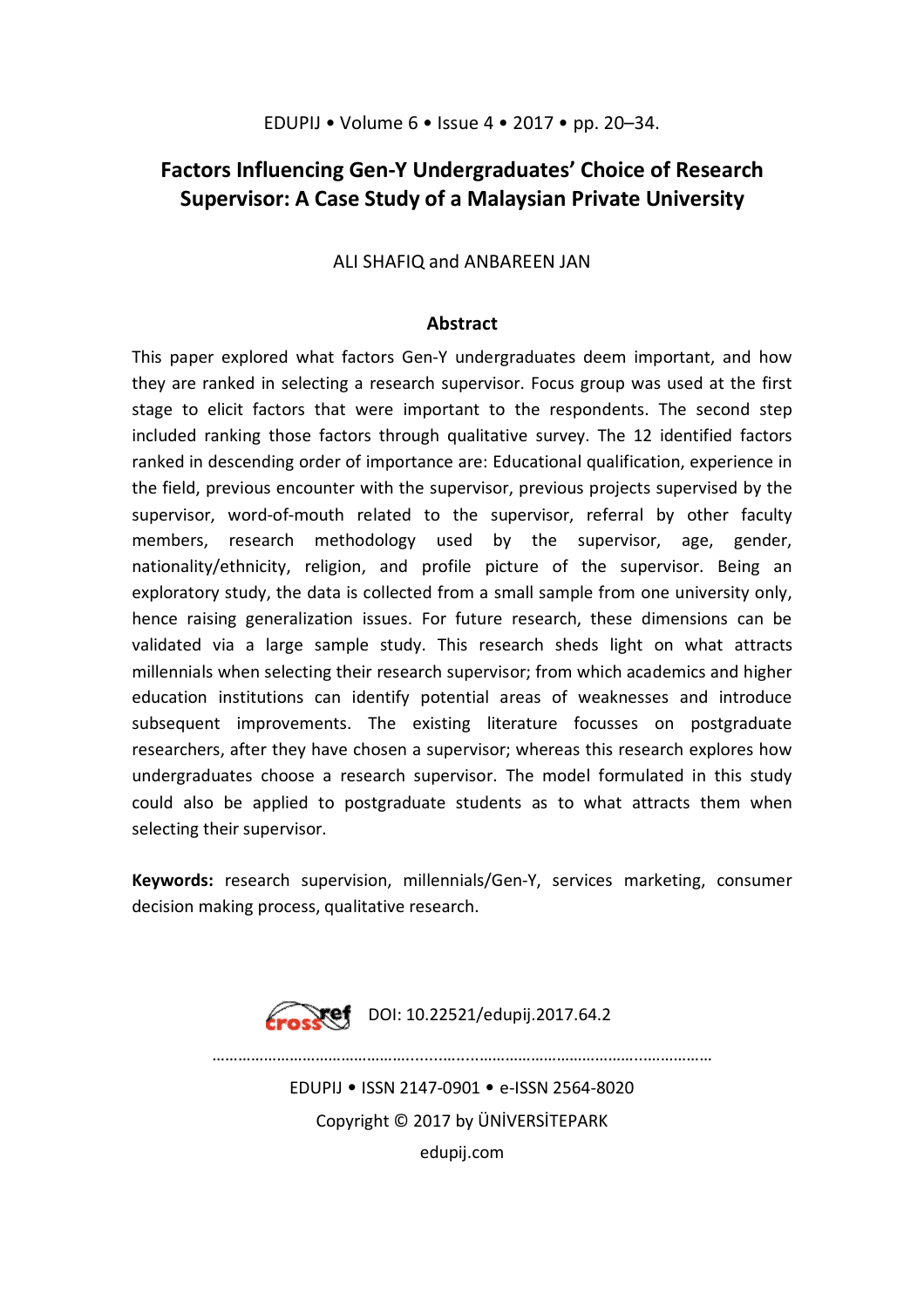# **Factors Influencing Gen-Y Undergraduates' Choice of Research Supervisor: A Case Study of a Malaysian Private University**

ALI SHAFIQ and ANBAREEN JAN

# **Abstract**

This paper explored what factors Gen-Y undergraduates deem important, and how they are ranked in selecting a research supervisor. Focus group was used at the first stage to elicit factors that were important to the respondents. The second step included ranking those factors through qualitative survey. The 12 identified factors ranked in descending order of importance are: Educational qualification, experience in the field, previous encounter with the supervisor, previous projects supervised by the supervisor, word-of-mouth related to the supervisor, referral by other faculty members, research methodology used by the supervisor, age, gender, nationality/ethnicity, religion, and profile picture of the supervisor. Being an exploratory study, the data is collected from a small sample from one university only, hence raising generalization issues. For future research, these dimensions can be validated via a large sample study. This research sheds light on what attracts millennials when selecting their research supervisor; from which academics and higher education institutions can identify potential areas of weaknesses and introduce subsequent improvements. The existing literature focusses on postgraduate researchers, after they have chosen a supervisor; whereas this research explores how undergraduates choose a research supervisor. The model formulated in this study could also be applied to postgraduate students as to what attracts them when selecting their supervisor.

**Keywords:** research supervision, millennials/Gen-Y, services marketing, consumer decision making process, qualitative research.



EDUPIJ • ISSN 2147-0901 • e-ISSN 2564-8020 Copyright © 2017 by ÜNİVERSİTEPARK edupij.com

………………………………………........….....………………………………...……………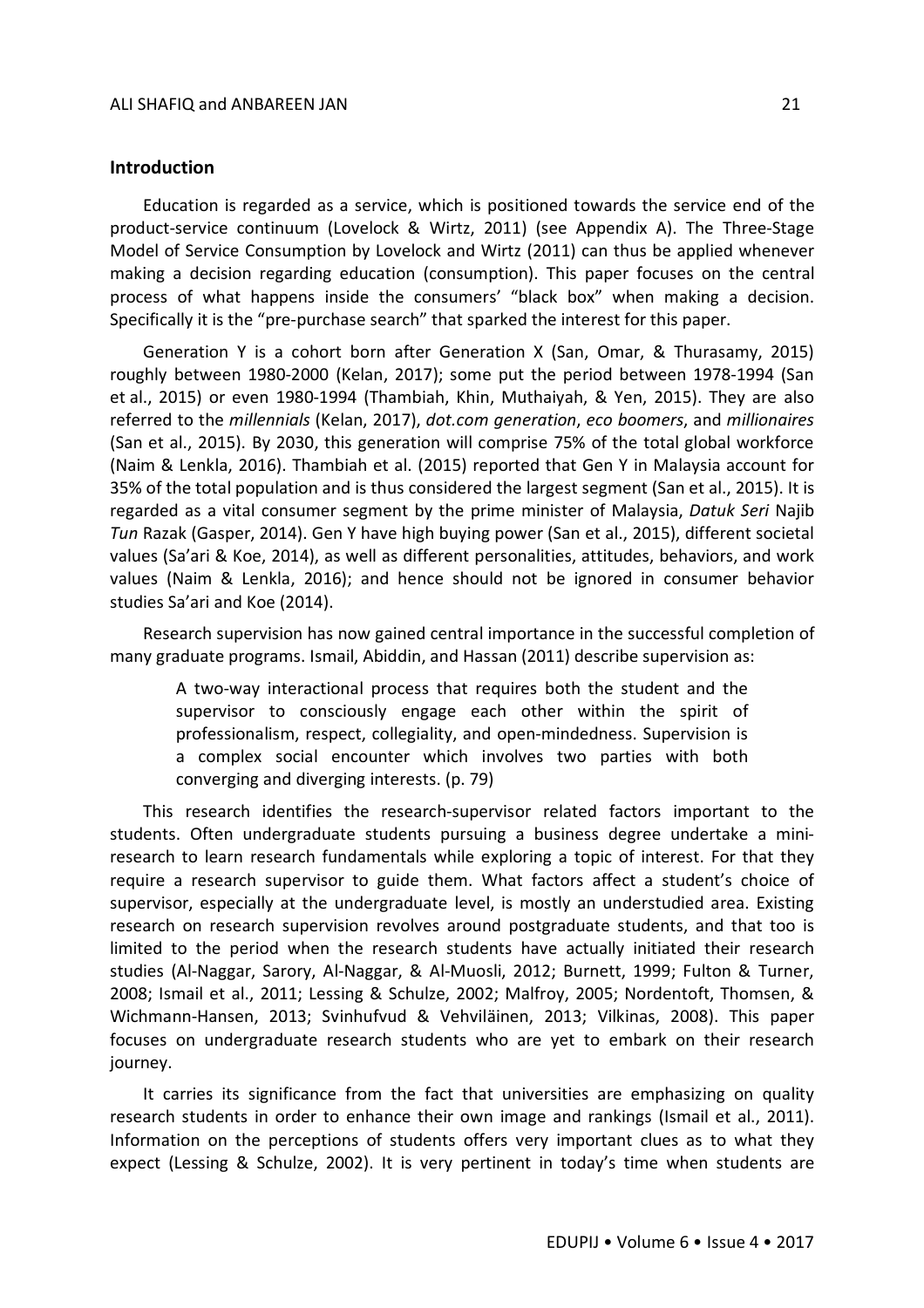# **Introduction**

Education is regarded as a service, which is positioned towards the service end of the product-service continuum (Lovelock & Wirtz, 2011) (see Appendix A). The Three-Stage Model of Service Consumption by Lovelock and Wirtz (2011) can thus be applied whenever making a decision regarding education (consumption). This paper focuses on the central process of what happens inside the consumers' "black box" when making a decision. Specifically it is the "pre-purchase search" that sparked the interest for this paper.

Generation Y is a cohort born after Generation X (San, Omar, & Thurasamy, 2015) roughly between 1980-2000 (Kelan, 2017); some put the period between 1978-1994 (San et al., 2015) or even 1980-1994 (Thambiah, Khin, Muthaiyah, & Yen, 2015). They are also referred to the *millennials* (Kelan, 2017), *dot.com generation*, *eco boomers*, and *millionaires* (San et al., 2015). By 2030, this generation will comprise 75% of the total global workforce (Naim & Lenkla, 2016). Thambiah et al. (2015) reported that Gen Y in Malaysia account for 35% of the total population and is thus considered the largest segment (San et al., 2015). It is regarded as a vital consumer segment by the prime minister of Malaysia, *Datuk Seri* Najib *Tun* Razak (Gasper, 2014). Gen Y have high buying power (San et al., 2015), different societal values (Sa'ari & Koe, 2014), as well as different personalities, attitudes, behaviors, and work values (Naim & Lenkla, 2016); and hence should not be ignored in consumer behavior studies Sa'ari and Koe (2014).

Research supervision has now gained central importance in the successful completion of many graduate programs. Ismail, Abiddin, and Hassan (2011) describe supervision as:

A two-way interactional process that requires both the student and the supervisor to consciously engage each other within the spirit of professionalism, respect, collegiality, and open-mindedness. Supervision is a complex social encounter which involves two parties with both converging and diverging interests. (p. 79)

This research identifies the research-supervisor related factors important to the students. Often undergraduate students pursuing a business degree undertake a miniresearch to learn research fundamentals while exploring a topic of interest. For that they require a research supervisor to guide them. What factors affect a student's choice of supervisor, especially at the undergraduate level, is mostly an understudied area. Existing research on research supervision revolves around postgraduate students, and that too is limited to the period when the research students have actually initiated their research studies (Al-Naggar, Sarory, Al-Naggar, & Al-Muosli, 2012; Burnett, 1999; Fulton & Turner, 2008; Ismail et al., 2011; Lessing & Schulze, 2002; Malfroy, 2005; Nordentoft, Thomsen, & Wichmann-Hansen, 2013; Svinhufvud & Vehviläinen, 2013; Vilkinas, 2008). This paper focuses on undergraduate research students who are yet to embark on their research journey.

It carries its significance from the fact that universities are emphasizing on quality research students in order to enhance their own image and rankings (Ismail et al., 2011). Information on the perceptions of students offers very important clues as to what they expect (Lessing & Schulze, 2002). It is very pertinent in today's time when students are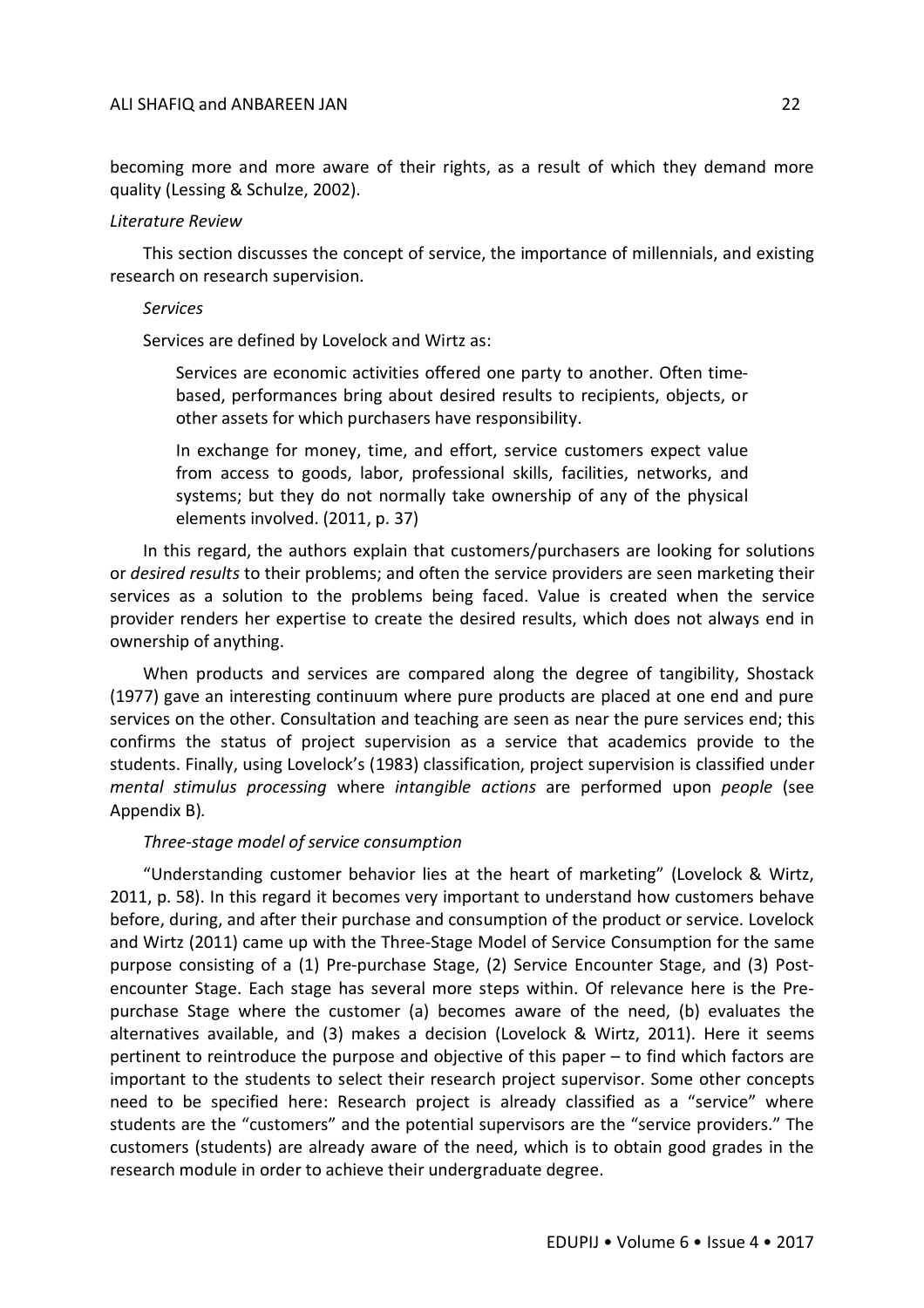becoming more and more aware of their rights, as a result of which they demand more quality (Lessing & Schulze, 2002).

#### *Literature Review*

This section discusses the concept of service, the importance of millennials, and existing research on research supervision.

#### *Services*

Services are defined by Lovelock and Wirtz as:

Services are economic activities offered one party to another. Often timebased, performances bring about desired results to recipients, objects, or other assets for which purchasers have responsibility.

In exchange for money, time, and effort, service customers expect value from access to goods, labor, professional skills, facilities, networks, and systems; but they do not normally take ownership of any of the physical elements involved. (2011, p. 37)

In this regard, the authors explain that customers/purchasers are looking for solutions or *desired results* to their problems; and often the service providers are seen marketing their services as a solution to the problems being faced. Value is created when the service provider renders her expertise to create the desired results, which does not always end in ownership of anything.

When products and services are compared along the degree of tangibility, Shostack (1977) gave an interesting continuum where pure products are placed at one end and pure services on the other. Consultation and teaching are seen as near the pure services end; this confirms the status of project supervision as a service that academics provide to the students. Finally, using Lovelock's (1983) classification, project supervision is classified under *mental stimulus processing* where *intangible actions* are performed upon *people* (see Appendix B)*.*

#### *Three-stage model of service consumption*

"Understanding customer behavior lies at the heart of marketing" (Lovelock & Wirtz, 2011, p. 58). In this regard it becomes very important to understand how customers behave before, during, and after their purchase and consumption of the product or service. Lovelock and Wirtz (2011) came up with the Three-Stage Model of Service Consumption for the same purpose consisting of a (1) Pre-purchase Stage, (2) Service Encounter Stage, and (3) Postencounter Stage. Each stage has several more steps within. Of relevance here is the Prepurchase Stage where the customer (a) becomes aware of the need, (b) evaluates the alternatives available, and (3) makes a decision (Lovelock & Wirtz, 2011). Here it seems pertinent to reintroduce the purpose and objective of this paper – to find which factors are important to the students to select their research project supervisor. Some other concepts need to be specified here: Research project is already classified as a "service" where students are the "customers" and the potential supervisors are the "service providers." The customers (students) are already aware of the need, which is to obtain good grades in the research module in order to achieve their undergraduate degree.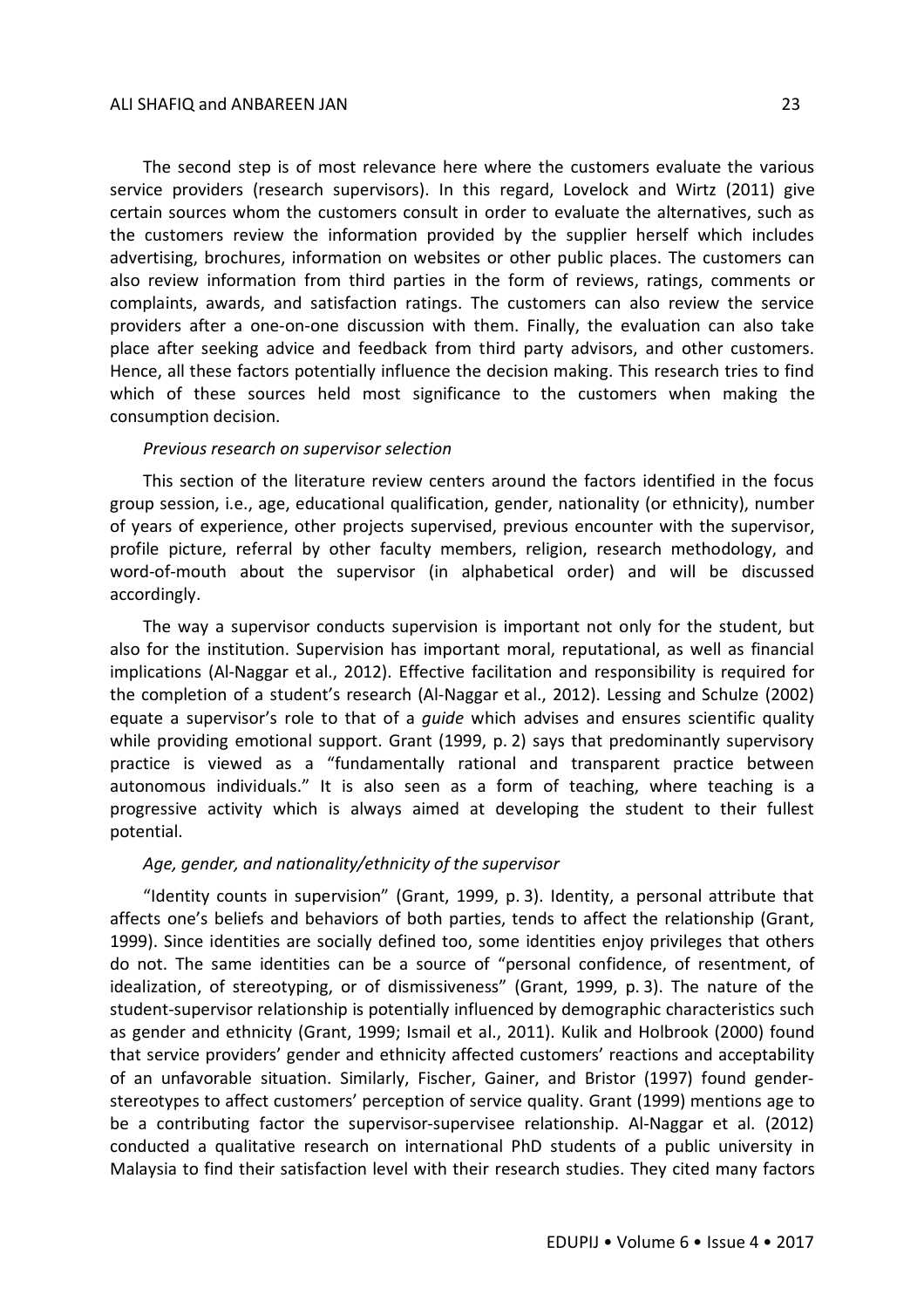#### ALI SHAFIQ and ANBAREEN JAN 23

The second step is of most relevance here where the customers evaluate the various service providers (research supervisors). In this regard, Lovelock and Wirtz (2011) give certain sources whom the customers consult in order to evaluate the alternatives, such as the customers review the information provided by the supplier herself which includes advertising, brochures, information on websites or other public places. The customers can also review information from third parties in the form of reviews, ratings, comments or complaints, awards, and satisfaction ratings. The customers can also review the service providers after a one-on-one discussion with them. Finally, the evaluation can also take place after seeking advice and feedback from third party advisors, and other customers. Hence, all these factors potentially influence the decision making. This research tries to find which of these sources held most significance to the customers when making the consumption decision.

#### *Previous research on supervisor selection*

This section of the literature review centers around the factors identified in the focus group session, i.e., age, educational qualification, gender, nationality (or ethnicity), number of years of experience, other projects supervised, previous encounter with the supervisor, profile picture, referral by other faculty members, religion, research methodology, and word-of-mouth about the supervisor (in alphabetical order) and will be discussed accordingly.

The way a supervisor conducts supervision is important not only for the student, but also for the institution. Supervision has important moral, reputational, as well as financial implications (Al-Naggar et al., 2012). Effective facilitation and responsibility is required for the completion of a student's research (Al-Naggar et al., 2012). Lessing and Schulze (2002) equate a supervisor's role to that of a *guide* which advises and ensures scientific quality while providing emotional support. Grant (1999, p. 2) says that predominantly supervisory practice is viewed as a "fundamentally rational and transparent practice between autonomous individuals." It is also seen as a form of teaching, where teaching is a progressive activity which is always aimed at developing the student to their fullest potential.

# *Age, gender, and nationality/ethnicity of the supervisor*

"Identity counts in supervision" (Grant, 1999, p. 3). Identity, a personal attribute that affects one's beliefs and behaviors of both parties, tends to affect the relationship (Grant, 1999). Since identities are socially defined too, some identities enjoy privileges that others do not. The same identities can be a source of "personal confidence, of resentment, of idealization, of stereotyping, or of dismissiveness" (Grant, 1999, p. 3). The nature of the student-supervisor relationship is potentially influenced by demographic characteristics such as gender and ethnicity (Grant, 1999; Ismail et al., 2011). Kulik and Holbrook (2000) found that service providers' gender and ethnicity affected customers' reactions and acceptability of an unfavorable situation. Similarly, Fischer, Gainer, and Bristor (1997) found genderstereotypes to affect customers' perception of service quality. Grant (1999) mentions age to be a contributing factor the supervisor-supervisee relationship. Al-Naggar et al. (2012) conducted a qualitative research on international PhD students of a public university in Malaysia to find their satisfaction level with their research studies. They cited many factors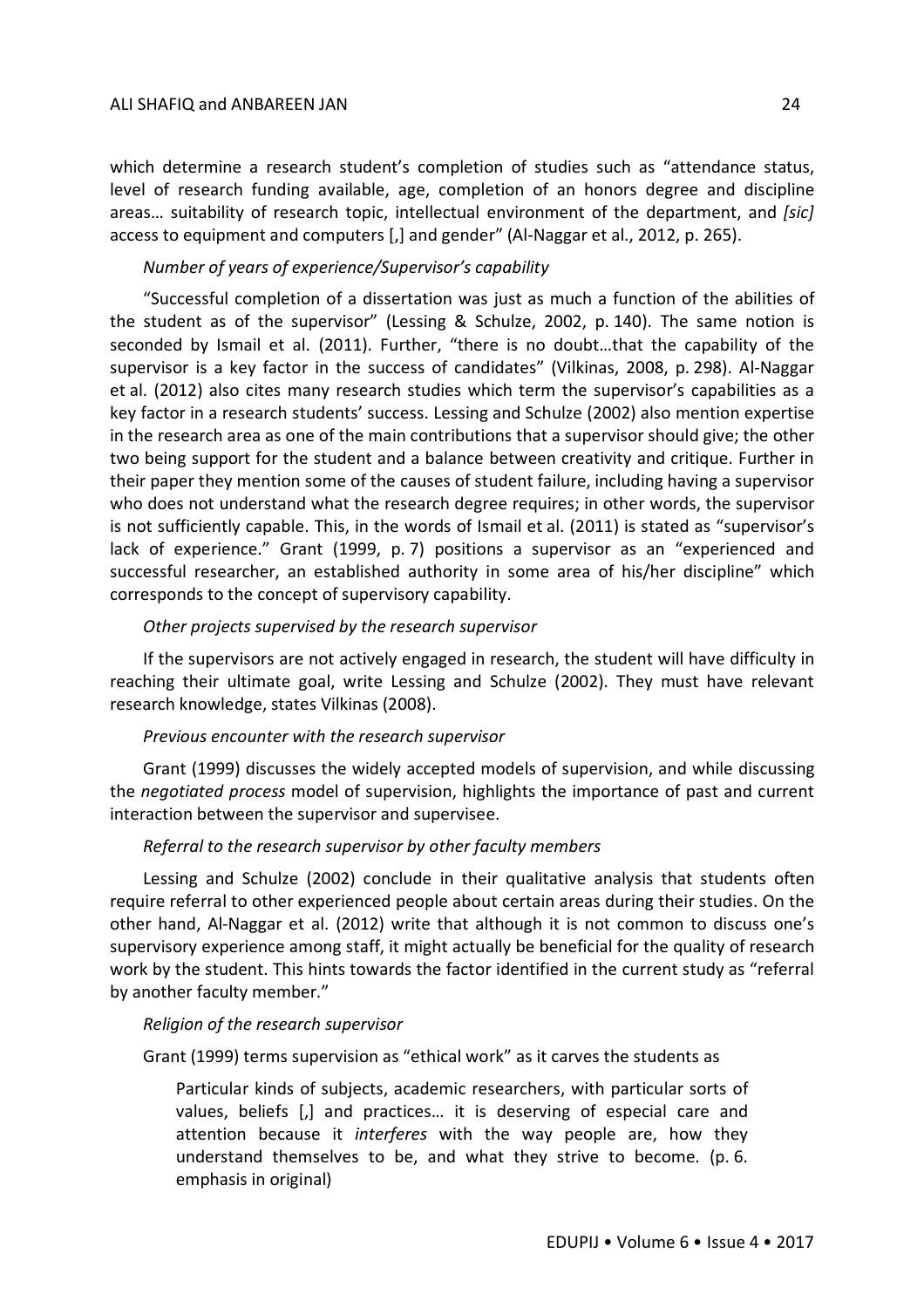#### ALI SHAFIQ and ANBAREEN JAN 24

which determine a research student's completion of studies such as "attendance status, level of research funding available, age, completion of an honors degree and discipline areas… suitability of research topic, intellectual environment of the department, and *[sic]*  access to equipment and computers [,] and gender" (Al-Naggar et al., 2012, p. 265).

# *Number of years of experience/Supervisor's capability*

"Successful completion of a dissertation was just as much a function of the abilities of the student as of the supervisor" (Lessing & Schulze, 2002, p. 140). The same notion is seconded by Ismail et al. (2011). Further, "there is no doubt…that the capability of the supervisor is a key factor in the success of candidates" (Vilkinas, 2008, p. 298). Al-Naggar et al. (2012) also cites many research studies which term the supervisor's capabilities as a key factor in a research students' success. Lessing and Schulze (2002) also mention expertise in the research area as one of the main contributions that a supervisor should give; the other two being support for the student and a balance between creativity and critique. Further in their paper they mention some of the causes of student failure, including having a supervisor who does not understand what the research degree requires; in other words, the supervisor is not sufficiently capable. This, in the words of Ismail et al. (2011) is stated as "supervisor's lack of experience." Grant (1999, p. 7) positions a supervisor as an "experienced and successful researcher, an established authority in some area of his/her discipline" which corresponds to the concept of supervisory capability.

# *Other projects supervised by the research supervisor*

If the supervisors are not actively engaged in research, the student will have difficulty in reaching their ultimate goal, write Lessing and Schulze (2002). They must have relevant research knowledge, states Vilkinas (2008).

#### *Previous encounter with the research supervisor*

Grant (1999) discusses the widely accepted models of supervision, and while discussing the *negotiated process* model of supervision, highlights the importance of past and current interaction between the supervisor and supervisee.

# *Referral to the research supervisor by other faculty members*

Lessing and Schulze (2002) conclude in their qualitative analysis that students often require referral to other experienced people about certain areas during their studies. On the other hand, Al-Naggar et al. (2012) write that although it is not common to discuss one's supervisory experience among staff, it might actually be beneficial for the quality of research work by the student. This hints towards the factor identified in the current study as "referral by another faculty member."

#### *Religion of the research supervisor*

Grant (1999) terms supervision as "ethical work" as it carves the students as

Particular kinds of subjects, academic researchers, with particular sorts of values, beliefs [,] and practices… it is deserving of especial care and attention because it *interferes* with the way people are, how they understand themselves to be, and what they strive to become. (p. 6. emphasis in original)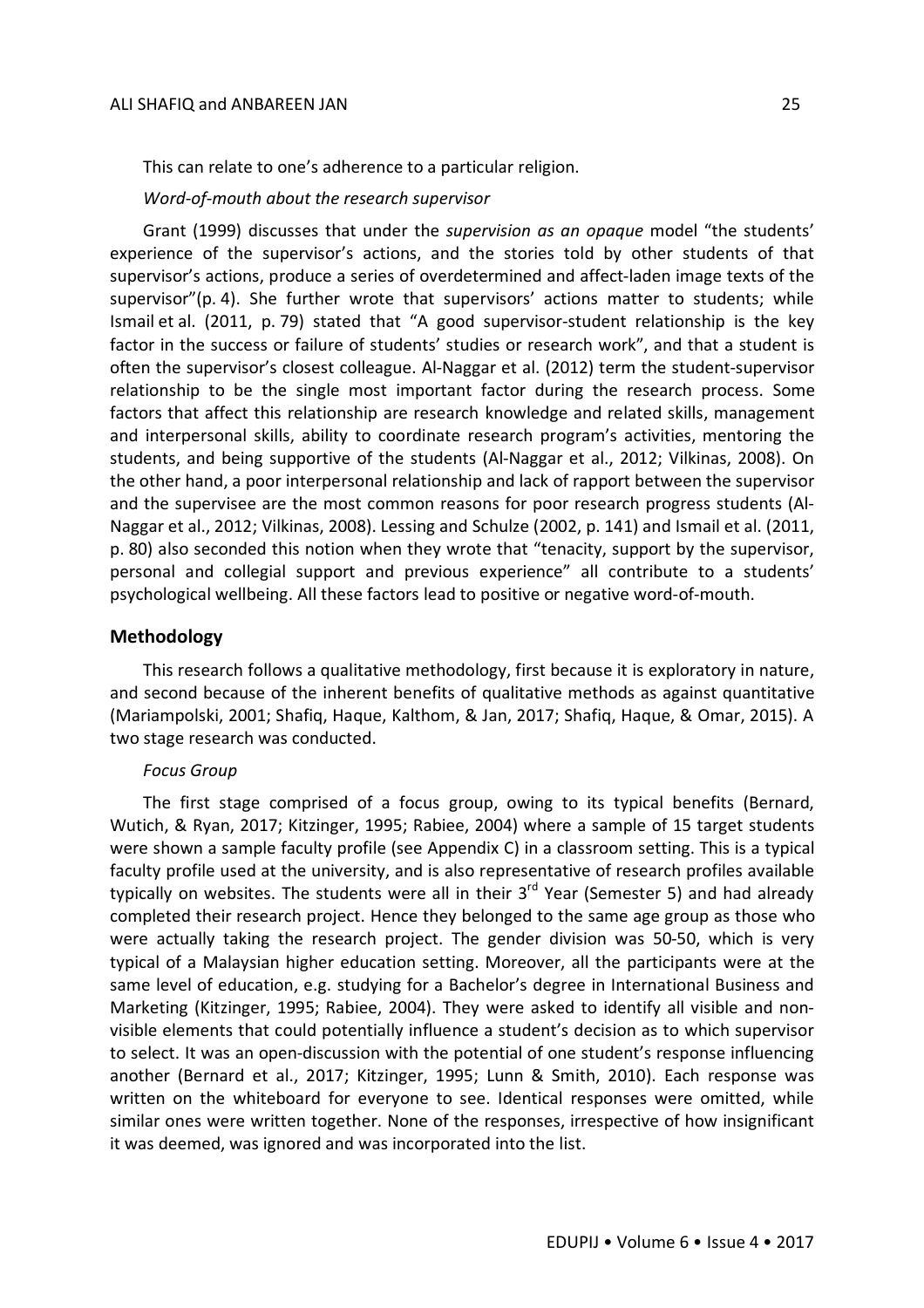This can relate to one's adherence to a particular religion.

*Word-of-mouth about the research supervisor*

Grant (1999) discusses that under the *supervision as an opaque* model "the students' experience of the supervisor's actions, and the stories told by other students of that supervisor's actions, produce a series of overdetermined and affect-laden image texts of the supervisor"(p. 4). She further wrote that supervisors' actions matter to students; while Ismail et al. (2011, p. 79) stated that "A good supervisor-student relationship is the key factor in the success or failure of students' studies or research work", and that a student is often the supervisor's closest colleague. Al-Naggar et al. (2012) term the student-supervisor relationship to be the single most important factor during the research process. Some factors that affect this relationship are research knowledge and related skills, management and interpersonal skills, ability to coordinate research program's activities, mentoring the students, and being supportive of the students (Al-Naggar et al., 2012; Vilkinas, 2008). On the other hand, a poor interpersonal relationship and lack of rapport between the supervisor and the supervisee are the most common reasons for poor research progress students (Al-Naggar et al., 2012; Vilkinas, 2008). Lessing and Schulze (2002, p. 141) and Ismail et al. (2011, p. 80) also seconded this notion when they wrote that "tenacity, support by the supervisor, personal and collegial support and previous experience" all contribute to a students' psychological wellbeing. All these factors lead to positive or negative word-of-mouth.

# **Methodology**

This research follows a qualitative methodology, first because it is exploratory in nature, and second because of the inherent benefits of qualitative methods as against quantitative (Mariampolski, 2001; Shafiq, Haque, Kalthom, & Jan, 2017; Shafiq, Haque, & Omar, 2015). A two stage research was conducted.

#### *Focus Group*

The first stage comprised of a focus group, owing to its typical benefits (Bernard, Wutich, & Ryan, 2017; Kitzinger, 1995; Rabiee, 2004) where a sample of 15 target students were shown a sample faculty profile (see Appendix C) in a classroom setting. This is a typical faculty profile used at the university, and is also representative of research profiles available typically on websites. The students were all in their 3<sup>rd</sup> Year (Semester 5) and had already completed their research project. Hence they belonged to the same age group as those who were actually taking the research project. The gender division was 50-50, which is very typical of a Malaysian higher education setting. Moreover, all the participants were at the same level of education, e.g. studying for a Bachelor's degree in International Business and Marketing (Kitzinger, 1995; Rabiee, 2004). They were asked to identify all visible and nonvisible elements that could potentially influence a student's decision as to which supervisor to select. It was an open-discussion with the potential of one student's response influencing another (Bernard et al., 2017; Kitzinger, 1995; Lunn & Smith, 2010). Each response was written on the whiteboard for everyone to see. Identical responses were omitted, while similar ones were written together. None of the responses, irrespective of how insignificant it was deemed, was ignored and was incorporated into the list.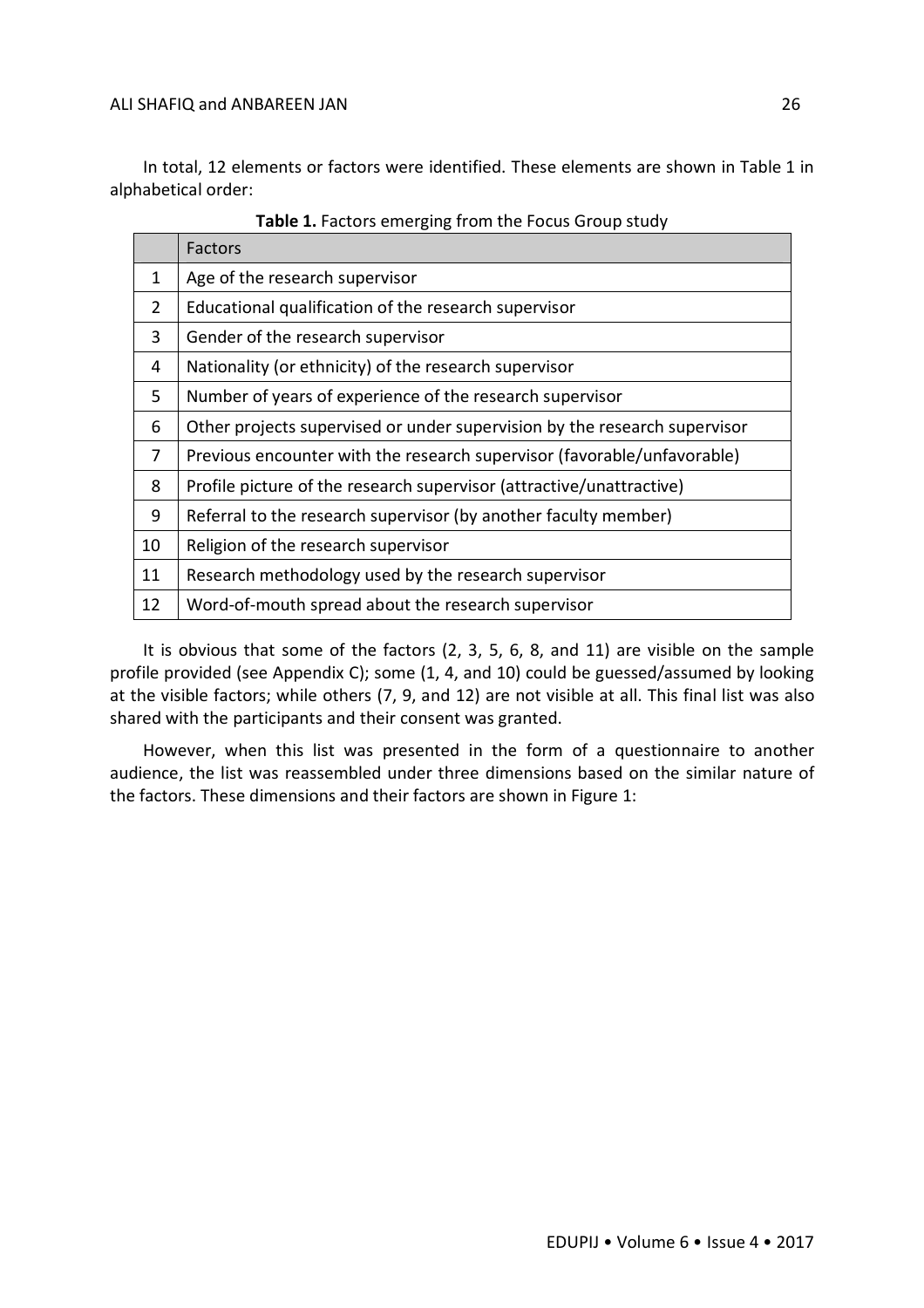In total, 12 elements or factors were identified. These elements are shown in Table 1 in alphabetical order:

|                | <b>Factors</b>                                                            |
|----------------|---------------------------------------------------------------------------|
| 1              | Age of the research supervisor                                            |
| $\overline{2}$ | Educational qualification of the research supervisor                      |
| 3              | Gender of the research supervisor                                         |
| 4              | Nationality (or ethnicity) of the research supervisor                     |
| 5              | Number of years of experience of the research supervisor                  |
| 6              | Other projects supervised or under supervision by the research supervisor |
| 7              | Previous encounter with the research supervisor (favorable/unfavorable)   |
| 8              | Profile picture of the research supervisor (attractive/unattractive)      |
| 9              | Referral to the research supervisor (by another faculty member)           |
| 10             | Religion of the research supervisor                                       |
| 11             | Research methodology used by the research supervisor                      |
| 12             | Word-of-mouth spread about the research supervisor                        |

**Table 1.** Factors emerging from the Focus Group study

It is obvious that some of the factors (2, 3, 5, 6, 8, and 11) are visible on the sample profile provided (see Appendix C); some (1, 4, and 10) could be guessed/assumed by looking at the visible factors; while others (7, 9, and 12) are not visible at all. This final list was also shared with the participants and their consent was granted.

However, when this list was presented in the form of a questionnaire to another audience, the list was reassembled under three dimensions based on the similar nature of the factors. These dimensions and their factors are shown in Figure 1: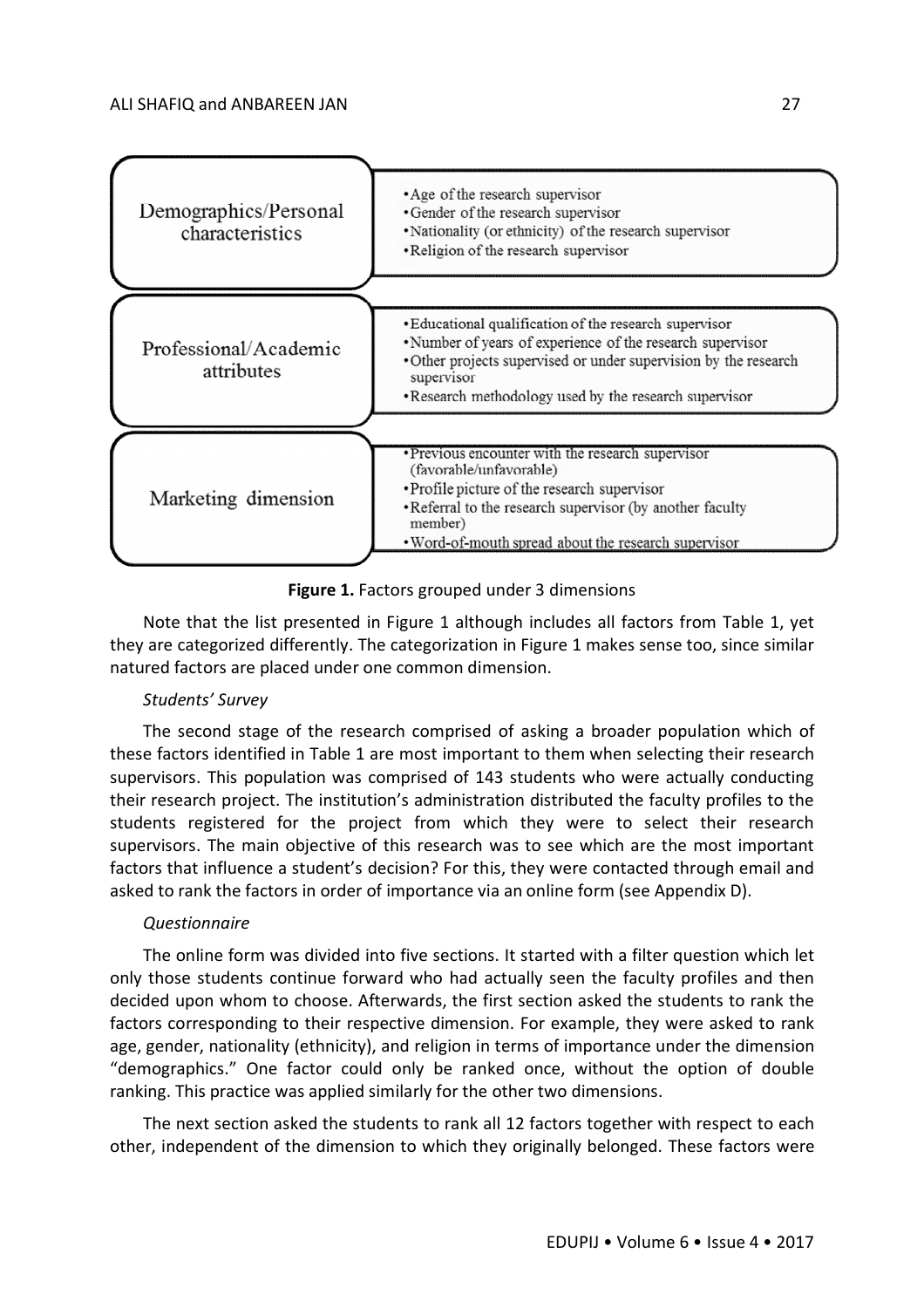



Note that the list presented in Figure 1 although includes all factors from Table 1, yet they are categorized differently. The categorization in Figure 1 makes sense too, since similar natured factors are placed under one common dimension.

#### *Students' Survey*

The second stage of the research comprised of asking a broader population which of these factors identified in Table 1 are most important to them when selecting their research supervisors. This population was comprised of 143 students who were actually conducting their research project. The institution's administration distributed the faculty profiles to the students registered for the project from which they were to select their research supervisors. The main objective of this research was to see which are the most important factors that influence a student's decision? For this, they were contacted through email and asked to rank the factors in order of importance via an online form (see Appendix D).

#### *Questionnaire*

The online form was divided into five sections. It started with a filter question which let only those students continue forward who had actually seen the faculty profiles and then decided upon whom to choose. Afterwards, the first section asked the students to rank the factors corresponding to their respective dimension. For example, they were asked to rank age, gender, nationality (ethnicity), and religion in terms of importance under the dimension "demographics." One factor could only be ranked once, without the option of double ranking. This practice was applied similarly for the other two dimensions.

The next section asked the students to rank all 12 factors together with respect to each other, independent of the dimension to which they originally belonged. These factors were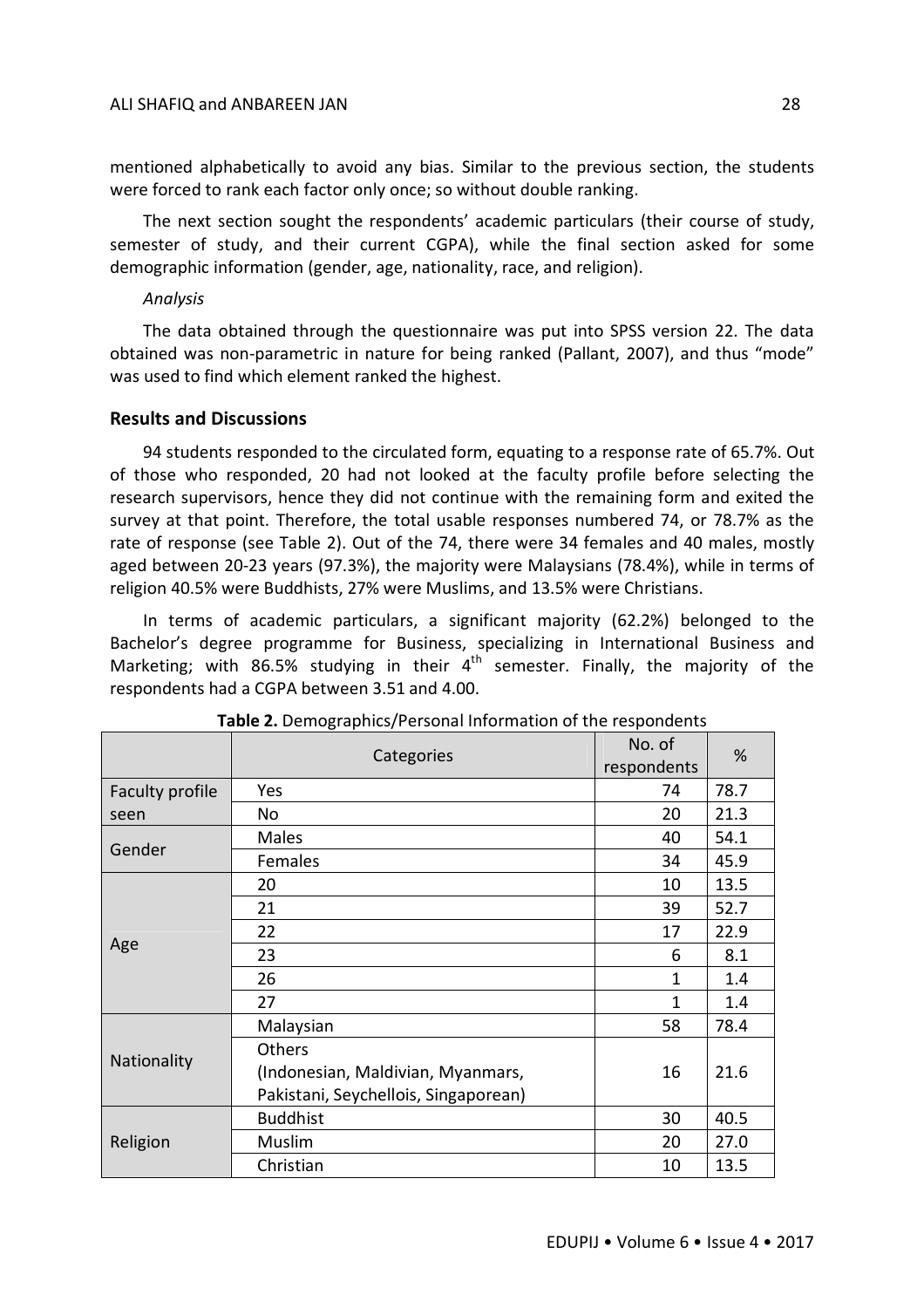mentioned alphabetically to avoid any bias. Similar to the previous section, the students were forced to rank each factor only once; so without double ranking.

The next section sought the respondents' academic particulars (their course of study, semester of study, and their current CGPA), while the final section asked for some demographic information (gender, age, nationality, race, and religion).

# *Analysis*

The data obtained through the questionnaire was put into SPSS version 22. The data obtained was non-parametric in nature for being ranked (Pallant, 2007), and thus "mode" was used to find which element ranked the highest.

# **Results and Discussions**

94 students responded to the circulated form, equating to a response rate of 65.7%. Out of those who responded, 20 had not looked at the faculty profile before selecting the research supervisors, hence they did not continue with the remaining form and exited the survey at that point. Therefore, the total usable responses numbered 74, or 78.7% as the rate of response (see Table 2). Out of the 74, there were 34 females and 40 males, mostly aged between 20-23 years (97.3%), the majority were Malaysians (78.4%), while in terms of religion 40.5% were Buddhists, 27% were Muslims, and 13.5% were Christians.

In terms of academic particulars, a significant majority (62.2%) belonged to the Bachelor's degree programme for Business, specializing in International Business and Marketing; with 86.5% studying in their  $4<sup>th</sup>$  semester. Finally, the majority of the respondents had a CGPA between 3.51 and 4.00.

|                 | Categories                           | No. of<br>respondents | %    |  |
|-----------------|--------------------------------------|-----------------------|------|--|
| Faculty profile | Yes                                  | 74                    | 78.7 |  |
| seen            | No                                   | 20                    | 21.3 |  |
|                 | Males                                | 40                    | 54.1 |  |
| Gender          | Females                              | 34                    | 45.9 |  |
|                 | 20                                   | 10                    | 13.5 |  |
|                 | 21                                   | 39                    | 52.7 |  |
|                 | 22                                   | 17                    | 22.9 |  |
| Age             | 23                                   | 6                     | 8.1  |  |
|                 | 26                                   | 1                     | 1.4  |  |
|                 | 27                                   | 1                     | 1.4  |  |
|                 | Malaysian                            | 58                    | 78.4 |  |
|                 | Others                               |                       |      |  |
| Nationality     | (Indonesian, Maldivian, Myanmars,    | 16                    | 21.6 |  |
|                 | Pakistani, Seychellois, Singaporean) |                       |      |  |
|                 | <b>Buddhist</b>                      | 30                    | 40.5 |  |
| Religion        | Muslim                               | 20                    | 27.0 |  |
|                 | Christian                            | 10                    | 13.5 |  |

| Table 2. Demographics/Personal Information of the respondents |  |  |
|---------------------------------------------------------------|--|--|
|---------------------------------------------------------------|--|--|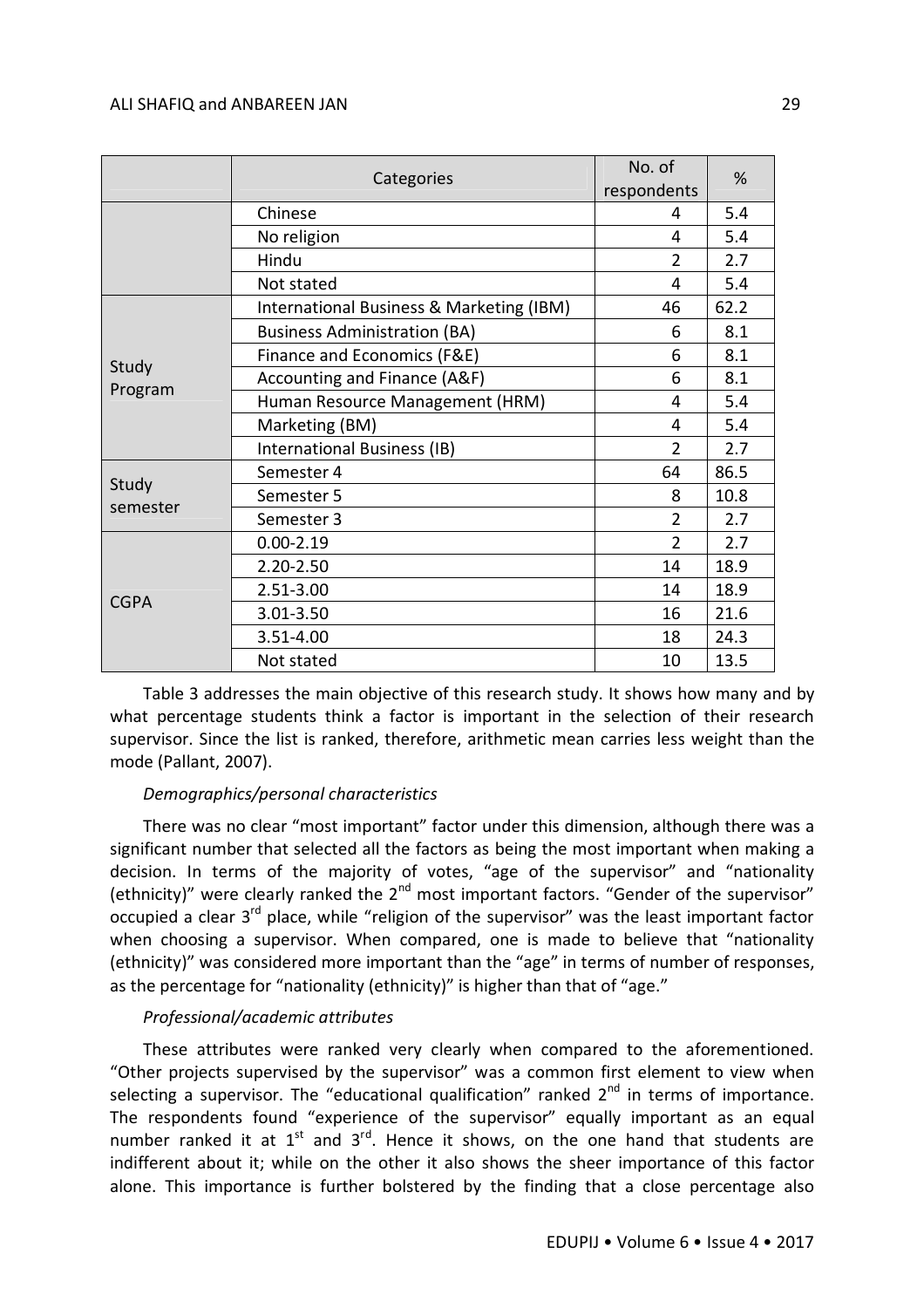|                   | Categories                               | No. of<br>respondents | %    |  |
|-------------------|------------------------------------------|-----------------------|------|--|
|                   | Chinese                                  | 4                     | 5.4  |  |
|                   | No religion                              | 4                     | 5.4  |  |
|                   | Hindu                                    | $\overline{2}$        | 2.7  |  |
|                   | Not stated                               | 4                     | 5.4  |  |
|                   | International Business & Marketing (IBM) | 46                    | 62.2 |  |
|                   | <b>Business Administration (BA)</b>      | 6                     | 8.1  |  |
|                   | Finance and Economics (F&E)              | 6                     | 8.1  |  |
| Study             | Accounting and Finance (A&F)             | 6                     | 8.1  |  |
| Program           | Human Resource Management (HRM)          | 4                     | 5.4  |  |
|                   | Marketing (BM)                           | 4                     | 5.4  |  |
|                   | International Business (IB)              | $\overline{2}$        | 2.7  |  |
|                   | Semester 4                               | 64                    | 86.5 |  |
| Study<br>semester | Semester 5                               | 8                     | 10.8 |  |
|                   | Semester 3                               | $\overline{2}$        | 2.7  |  |
|                   | $0.00 - 2.19$                            | $\overline{2}$        | 2.7  |  |
|                   | $2.20 - 2.50$                            | 14                    | 18.9 |  |
| <b>CGPA</b>       | 2.51-3.00                                | 14                    | 18.9 |  |
|                   | 3.01-3.50                                | 16                    | 21.6 |  |
|                   | 3.51-4.00                                | 18                    | 24.3 |  |
|                   | Not stated                               | 10                    | 13.5 |  |

Table 3 addresses the main objective of this research study. It shows how many and by what percentage students think a factor is important in the selection of their research supervisor. Since the list is ranked, therefore, arithmetic mean carries less weight than the mode (Pallant, 2007).

# *Demographics/personal characteristics*

There was no clear "most important" factor under this dimension, although there was a significant number that selected all the factors as being the most important when making a decision. In terms of the majority of votes, "age of the supervisor" and "nationality (ethnicity)" were clearly ranked the 2<sup>nd</sup> most important factors. "Gender of the supervisor" occupied a clear 3<sup>rd</sup> place, while "religion of the supervisor" was the least important factor when choosing a supervisor. When compared, one is made to believe that "nationality (ethnicity)" was considered more important than the "age" in terms of number of responses, as the percentage for "nationality (ethnicity)" is higher than that of "age."

# *Professional/academic attributes*

These attributes were ranked very clearly when compared to the aforementioned. "Other projects supervised by the supervisor" was a common first element to view when selecting a supervisor. The "educational qualification" ranked  $2<sup>nd</sup>$  in terms of importance. The respondents found "experience of the supervisor" equally important as an equal number ranked it at  $1^{st}$  and  $3^{rd}$ . Hence it shows, on the one hand that students are indifferent about it; while on the other it also shows the sheer importance of this factor alone. This importance is further bolstered by the finding that a close percentage also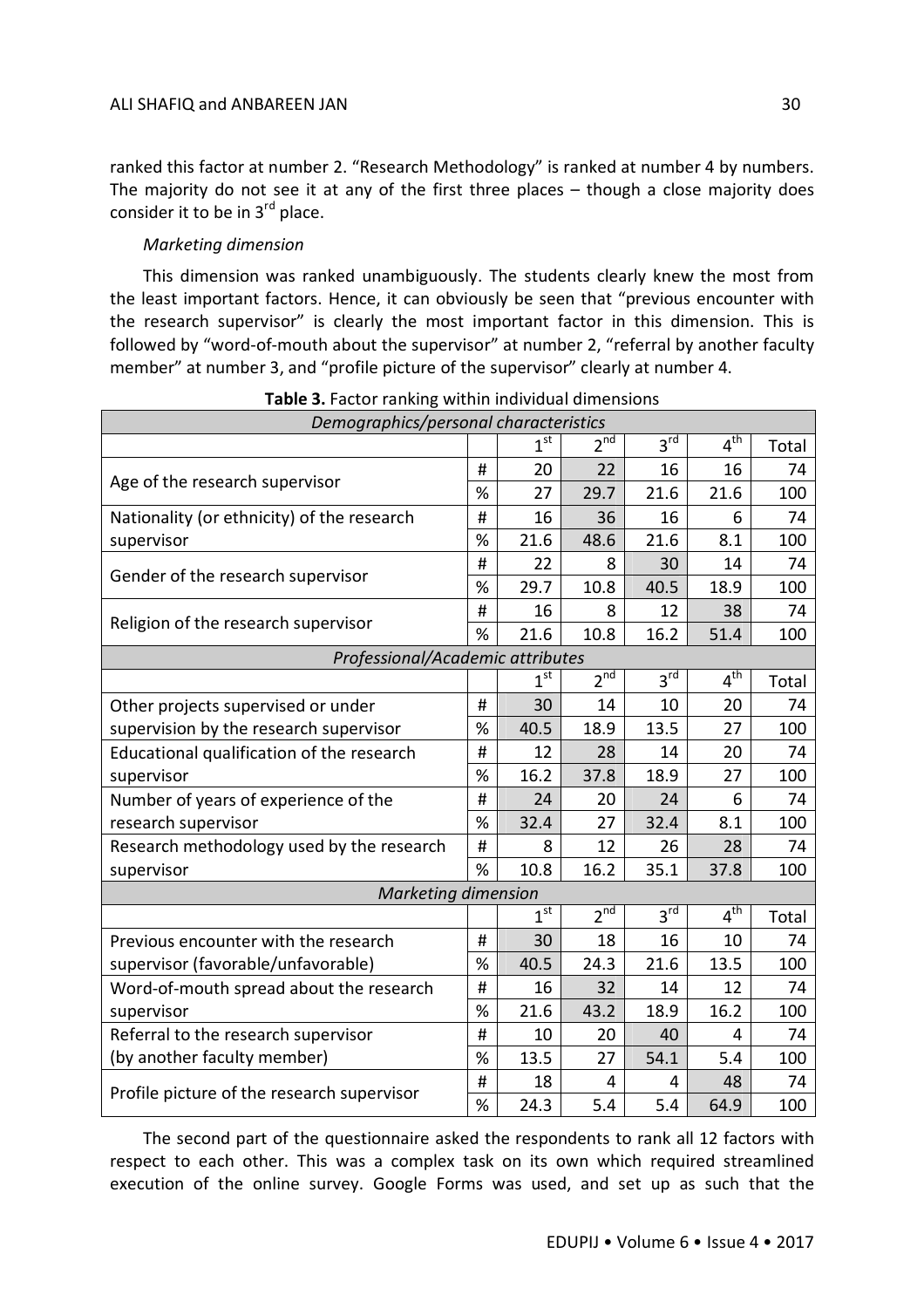ranked this factor at number 2. "Research Methodology" is ranked at number 4 by numbers. The majority do not see it at any of the first three places – though a close majority does consider it to be in 3<sup>rd</sup> place.

# *Marketing dimension*

This dimension was ranked unambiguously. The students clearly knew the most from the least important factors. Hence, it can obviously be seen that "previous encounter with the research supervisor" is clearly the most important factor in this dimension. This is followed by "word-of-mouth about the supervisor" at number 2, "referral by another faculty member" at number 3, and "profile picture of the supervisor" clearly at number 4.

| Demographics/personal characteristics      |   |                 |                 |                 |                            |       |  |  |  |
|--------------------------------------------|---|-----------------|-----------------|-----------------|----------------------------|-------|--|--|--|
|                                            |   | 1 <sup>st</sup> | $2^{\text{nd}}$ | $3^{\text{rd}}$ | $4^{\overline{\text{th}}}$ | Total |  |  |  |
| Age of the research supervisor             | # | 20              | 22              | 16              | 16                         | 74    |  |  |  |
|                                            | % | 27              | 29.7            | 21.6            | 21.6                       | 100   |  |  |  |
| Nationality (or ethnicity) of the research | # | 16              | 36              | 16              | 6                          | 74    |  |  |  |
| supervisor                                 | % | 21.6            | 48.6            | 21.6            | 8.1                        | 100   |  |  |  |
| Gender of the research supervisor          | # | 22              | 8               | 30              | 14                         | 74    |  |  |  |
|                                            | % | 29.7            | 10.8            | 40.5            | 18.9                       | 100   |  |  |  |
| Religion of the research supervisor        | # | 16              | 8               | 12              | 38                         | 74    |  |  |  |
|                                            | % | 21.6            | 10.8            | 16.2            | 51.4                       | 100   |  |  |  |
| Professional/Academic attributes           |   |                 |                 |                 |                            |       |  |  |  |
|                                            |   | 1 <sup>st</sup> | 2 <sup>nd</sup> | 3 <sup>rd</sup> | 4 <sup>th</sup>            | Total |  |  |  |
| Other projects supervised or under         | # | 30              | 14              | 10              | 20                         | 74    |  |  |  |
| supervision by the research supervisor     | % | 40.5            | 18.9            | 13.5            | 27                         | 100   |  |  |  |
| Educational qualification of the research  | # | 12              | 28              | 14              | 20                         | 74    |  |  |  |
| supervisor                                 | % | 16.2            | 37.8            | 18.9            | 27                         | 100   |  |  |  |
| Number of years of experience of the       | # | 24              | 20              | 24              | 6                          | 74    |  |  |  |
| research supervisor                        | % | 32.4            | 27              | 32.4            | 8.1                        | 100   |  |  |  |
| Research methodology used by the research  | # | 8               | 12              | 26              | 28                         | 74    |  |  |  |
| supervisor                                 | % | 10.8            | 16.2            | 35.1            | 37.8                       | 100   |  |  |  |
| <b>Marketing dimension</b>                 |   |                 |                 |                 |                            |       |  |  |  |
|                                            |   | 1 <sup>st</sup> | 2 <sup>nd</sup> | 3 <sup>rd</sup> | 4 <sup>th</sup>            | Total |  |  |  |
| Previous encounter with the research       | # | 30              | 18              | 16              | 10                         | 74    |  |  |  |
| supervisor (favorable/unfavorable)         | % | 40.5            | 24.3            | 21.6            | 13.5                       | 100   |  |  |  |
| Word-of-mouth spread about the research    | # | 16              | 32              | 14              | 12                         | 74    |  |  |  |
| supervisor                                 | % | 21.6            | 43.2            | 18.9            | 16.2                       | 100   |  |  |  |
| Referral to the research supervisor        | # | 10              | 20              | 40              | 4                          | 74    |  |  |  |
| (by another faculty member)                | % | 13.5            | 27              | 54.1            | 5.4                        | 100   |  |  |  |
| Profile picture of the research supervisor | # | 18              | 4               | 4               | 48                         | 74    |  |  |  |
|                                            | % | 24.3            | 5.4             | 5.4             | 64.9                       | 100   |  |  |  |

**Table 3.** Factor ranking within individual dimensions

The second part of the questionnaire asked the respondents to rank all 12 factors with respect to each other. This was a complex task on its own which required streamlined execution of the online survey. Google Forms was used, and set up as such that the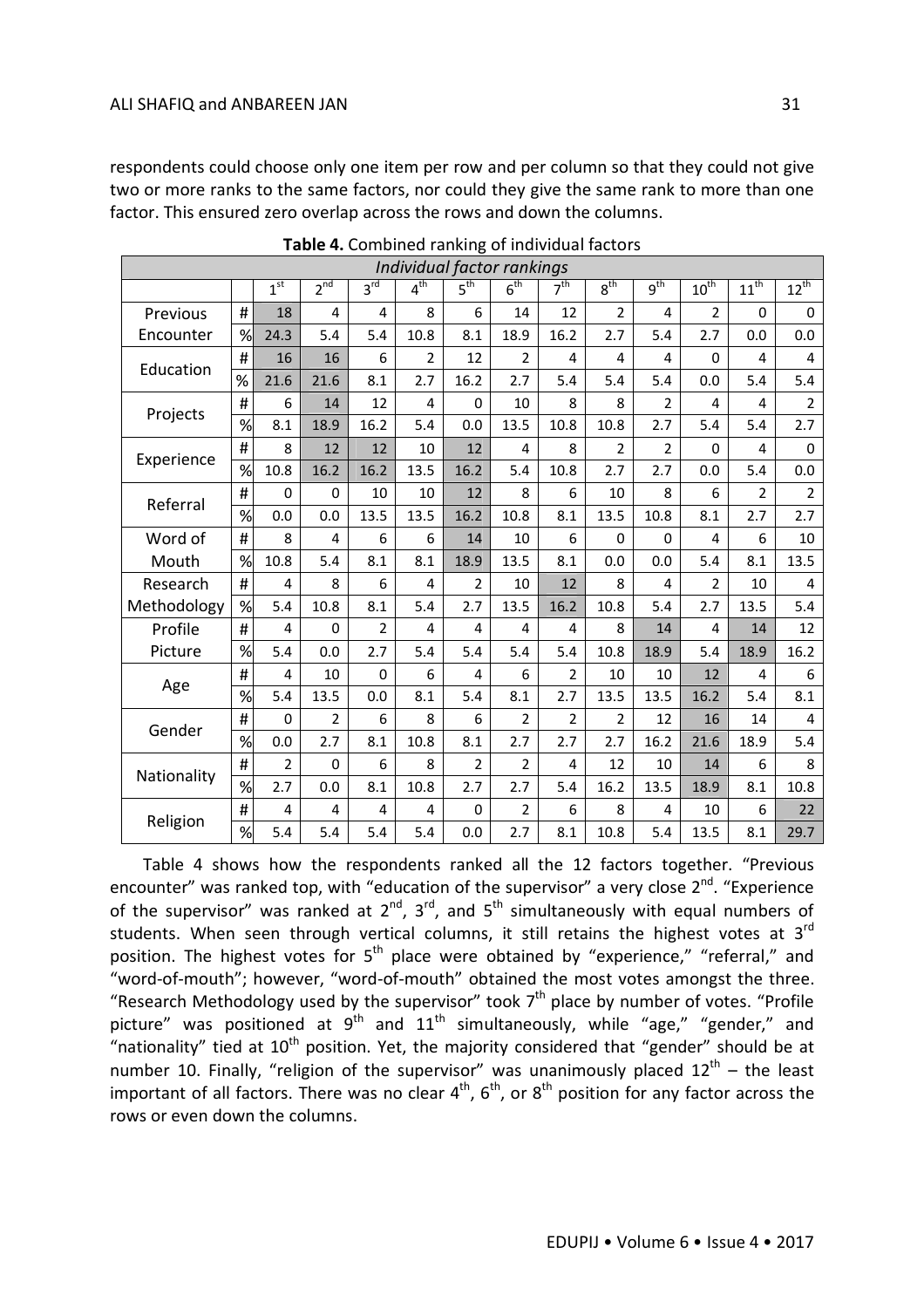respondents could choose only one item per row and per column so that they could not give two or more ranks to the same factors, nor could they give the same rank to more than one factor. This ensured zero overlap across the rows and down the columns.

| Individual factor rankings |   |                 |                |                 |                            |                 |                 |                 |                 |                 |                |                |                         |
|----------------------------|---|-----------------|----------------|-----------------|----------------------------|-----------------|-----------------|-----------------|-----------------|-----------------|----------------|----------------|-------------------------|
|                            |   | 1 <sup>st</sup> | $2^{nd}$       | $3^{\text{rd}}$ | $4^{\overline{\text{th}}}$ | 5 <sup>th</sup> | 6 <sup>th</sup> | 7 <sup>th</sup> | 8 <sup>th</sup> | g <sup>th</sup> | $10^{th}$      | $11^{th}$      | $12^{th}$               |
| Previous                   | # | 18              | 4              | 4               | 8                          | 6               | 14              | 12              | $\overline{2}$  | 4               | $\overline{2}$ | $\Omega$       | $\mathbf 0$             |
| Encounter                  | % | 24.3            | 5.4            | 5.4             | 10.8                       | 8.1             | 18.9            | 16.2            | 2.7             | 5.4             | 2.7            | 0.0            | 0.0                     |
| Education                  | # | 16              | 16             | 6               | $\overline{2}$             | 12              | 2               | 4               | $\overline{4}$  | 4               | $\mathbf 0$    | 4              | $\overline{\mathbf{4}}$ |
|                            | % | 21.6            | 21.6           | 8.1             | 2.7                        | 16.2            | 2.7             | 5.4             | 5.4             | 5.4             | 0.0            | 5.4            | 5.4                     |
|                            | # | 6               | 14             | 12              | 4                          | 0               | 10              | 8               | 8               | 2               | 4              | 4              | $\overline{2}$          |
| Projects                   | % | 8.1             | 18.9           | 16.2            | 5.4                        | 0.0             | 13.5            | 10.8            | 10.8            | 2.7             | 5.4            | 5.4            | 2.7                     |
| Experience                 | # | 8               | 12             | 12              | 10                         | 12              | 4               | 8               | $\overline{2}$  | $\overline{2}$  | $\Omega$       | 4              | $\mathbf 0$             |
|                            | % | 10.8            | 16.2           | 16.2            | 13.5                       | 16.2            | 5.4             | 10.8            | 2.7             | 2.7             | 0.0            | 5.4            | 0.0                     |
| Referral                   | # | $\Omega$        | 0              | 10              | 10                         | 12              | 8               | 6               | 10              | 8               | 6              | $\overline{2}$ | $\overline{2}$          |
|                            | % | 0.0             | 0.0            | 13.5            | 13.5                       | 16.2            | 10.8            | 8.1             | 13.5            | 10.8            | 8.1            | 2.7            | 2.7                     |
| Word of                    | # | 8               | 4              | 6               | 6                          | 14              | 10              | 6               | $\Omega$        | $\Omega$        | 4              | 6              | 10                      |
| Mouth                      | % | 10.8            | 5.4            | 8.1             | 8.1                        | 18.9            | 13.5            | 8.1             | 0.0             | 0.0             | 5.4            | 8.1            | 13.5                    |
| Research                   | # | 4               | 8              | 6               | 4                          | $\overline{2}$  | 10              | 12              | 8               | 4               | $\overline{2}$ | 10             | 4                       |
| Methodology                | % | 5.4             | 10.8           | 8.1             | 5.4                        | 2.7             | 13.5            | 16.2            | 10.8            | 5.4             | 2.7            | 13.5           | 5.4                     |
| Profile                    | # | 4               | 0              | $\overline{2}$  | 4                          | 4               | 4               | 4               | 8               | 14              | 4              | 14             | 12                      |
| Picture                    | % | 5.4             | 0.0            | 2.7             | 5.4                        | 5.4             | 5.4             | 5.4             | 10.8            | 18.9            | 5.4            | 18.9           | 16.2                    |
|                            | # | 4               | 10             | $\mathbf 0$     | 6                          | 4               | 6               | $\overline{2}$  | 10              | 10              | 12             | 4              | 6                       |
| Age                        | % | 5.4             | 13.5           | 0.0             | 8.1                        | 5.4             | 8.1             | 2.7             | 13.5            | 13.5            | 16.2           | 5.4            | 8.1                     |
| Gender                     | # | $\mathbf 0$     | $\overline{2}$ | 6               | 8                          | 6               | $\overline{2}$  | $\overline{2}$  | $\overline{2}$  | 12              | 16             | 14             | $\overline{4}$          |
|                            | % | 0.0             | 2.7            | 8.1             | 10.8                       | 8.1             | 2.7             | 2.7             | 2.7             | 16.2            | 21.6           | 18.9           | 5.4                     |
|                            | # | $\overline{2}$  | $\Omega$       | 6               | 8                          | $\overline{2}$  | $\overline{2}$  | 4               | 12              | 10              | 14             | 6              | 8                       |
| Nationality                | % | 2.7             | 0.0            | 8.1             | 10.8                       | 2.7             | 2.7             | 5.4             | 16.2            | 13.5            | 18.9           | 8.1            | 10.8                    |
|                            | # | 4               | 4              | 4               | 4                          | 0               | $\overline{2}$  | 6               | 8               | 4               | 10             | 6              | 22                      |
| Religion                   | % | 5.4             | 5.4            | 5.4             | 5.4                        | 0.0             | 2.7             | 8.1             | 10.8            | 5.4             | 13.5           | 8.1            | 29.7                    |

**Table 4.** Combined ranking of individual factors

Table 4 shows how the respondents ranked all the 12 factors together. "Previous encounter" was ranked top, with "education of the supervisor" a very close 2<sup>nd</sup>. "Experience of the supervisor" was ranked at  $2^{nd}$ ,  $3^{rd}$ , and  $5^{th}$  simultaneously with equal numbers of students. When seen through vertical columns, it still retains the highest votes at 3<sup>rd</sup> position. The highest votes for  $5<sup>th</sup>$  place were obtained by "experience," "referral," and "word-of-mouth"; however, "word-of-mouth" obtained the most votes amongst the three. "Research Methodology used by the supervisor" took  $7<sup>th</sup>$  place by number of votes. "Profile picture" was positioned at  $9^{th}$  and  $11^{th}$  simultaneously, while "age," "gender," and "nationality" tied at  $10<sup>th</sup>$  position. Yet, the majority considered that "gender" should be at number 10. Finally, "religion of the supervisor" was unanimously placed  $12^{th}$  – the least important of all factors. There was no clear  $4^{th}$ ,  $6^{th}$ , or  $8^{th}$  position for any factor across the rows or even down the columns.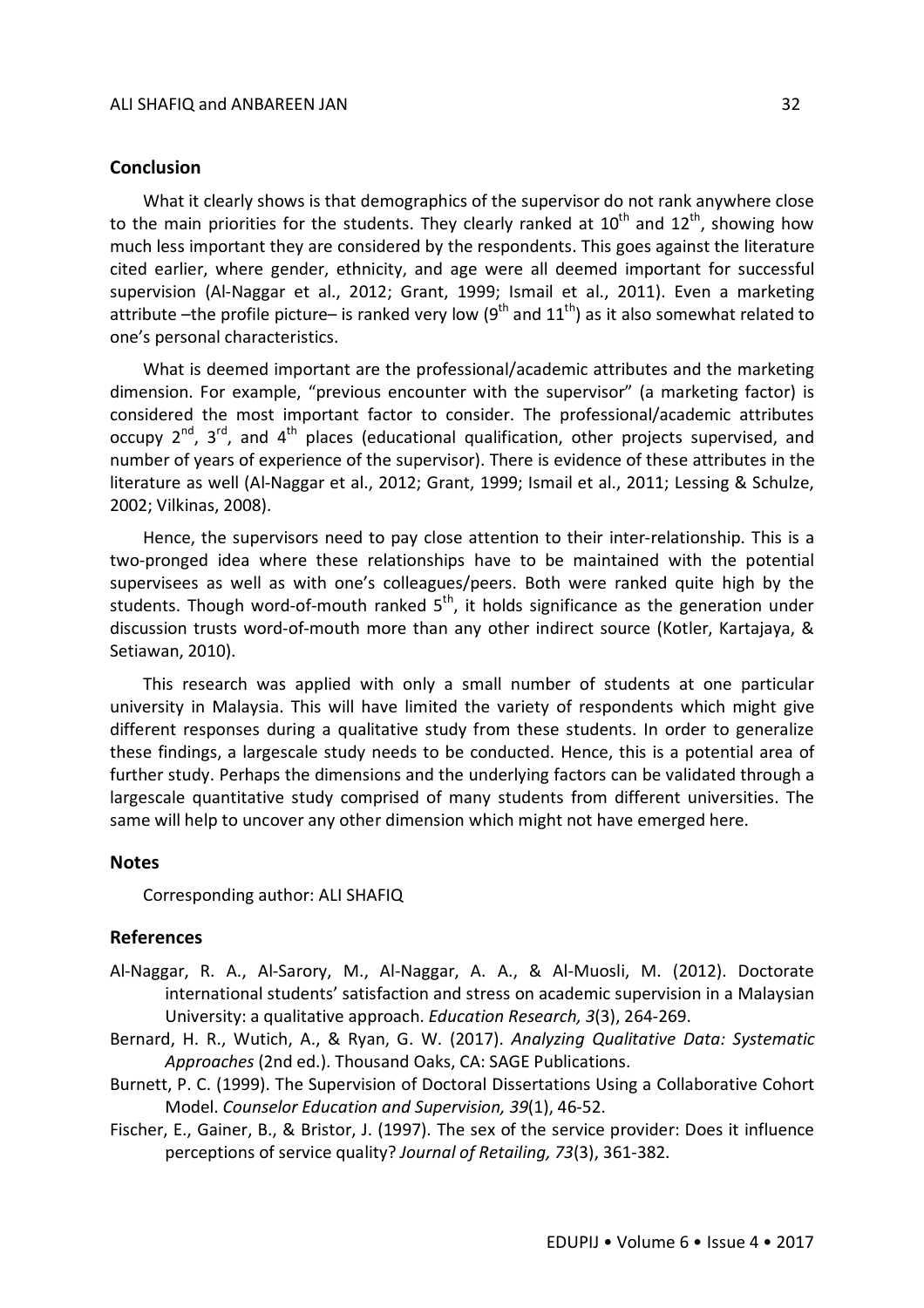# **Conclusion**

What it clearly shows is that demographics of the supervisor do not rank anywhere close to the main priorities for the students. They clearly ranked at  $10^{th}$  and  $12^{th}$ , showing how much less important they are considered by the respondents. This goes against the literature cited earlier, where gender, ethnicity, and age were all deemed important for successful supervision (Al-Naggar et al., 2012; Grant, 1999; Ismail et al., 2011). Even a marketing attribute –the profile picture– is ranked very low (9<sup>th</sup> and  $11<sup>th</sup>$ ) as it also somewhat related to one's personal characteristics.

What is deemed important are the professional/academic attributes and the marketing dimension. For example, "previous encounter with the supervisor" (a marketing factor) is considered the most important factor to consider. The professional/academic attributes occupy  $2^{nd}$ ,  $3^{rd}$ , and  $4^{th}$  places (educational qualification, other projects supervised, and number of years of experience of the supervisor). There is evidence of these attributes in the literature as well (Al-Naggar et al., 2012; Grant, 1999; Ismail et al., 2011; Lessing & Schulze, 2002; Vilkinas, 2008).

Hence, the supervisors need to pay close attention to their inter-relationship. This is a two-pronged idea where these relationships have to be maintained with the potential supervisees as well as with one's colleagues/peers. Both were ranked quite high by the students. Though word-of-mouth ranked  $5<sup>th</sup>$ , it holds significance as the generation under discussion trusts word-of-mouth more than any other indirect source (Kotler, Kartajaya, & Setiawan, 2010).

This research was applied with only a small number of students at one particular university in Malaysia. This will have limited the variety of respondents which might give different responses during a qualitative study from these students. In order to generalize these findings, a largescale study needs to be conducted. Hence, this is a potential area of further study. Perhaps the dimensions and the underlying factors can be validated through a largescale quantitative study comprised of many students from different universities. The same will help to uncover any other dimension which might not have emerged here.

#### **Notes**

Corresponding author: ALI SHAFIQ

# **References**

- Al-Naggar, R. A., Al-Sarory, M., Al-Naggar, A. A., & Al-Muosli, M. (2012). Doctorate international students' satisfaction and stress on academic supervision in a Malaysian University: a qualitative approach. *Education Research, 3*(3), 264-269.
- Bernard, H. R., Wutich, A., & Ryan, G. W. (2017). *Analyzing Qualitative Data: Systematic Approaches* (2nd ed.). Thousand Oaks, CA: SAGE Publications.
- Burnett, P. C. (1999). The Supervision of Doctoral Dissertations Using a Collaborative Cohort Model. *Counselor Education and Supervision, 39*(1), 46-52.
- Fischer, E., Gainer, B., & Bristor, J. (1997). The sex of the service provider: Does it influence perceptions of service quality? *Journal of Retailing, 73*(3), 361-382.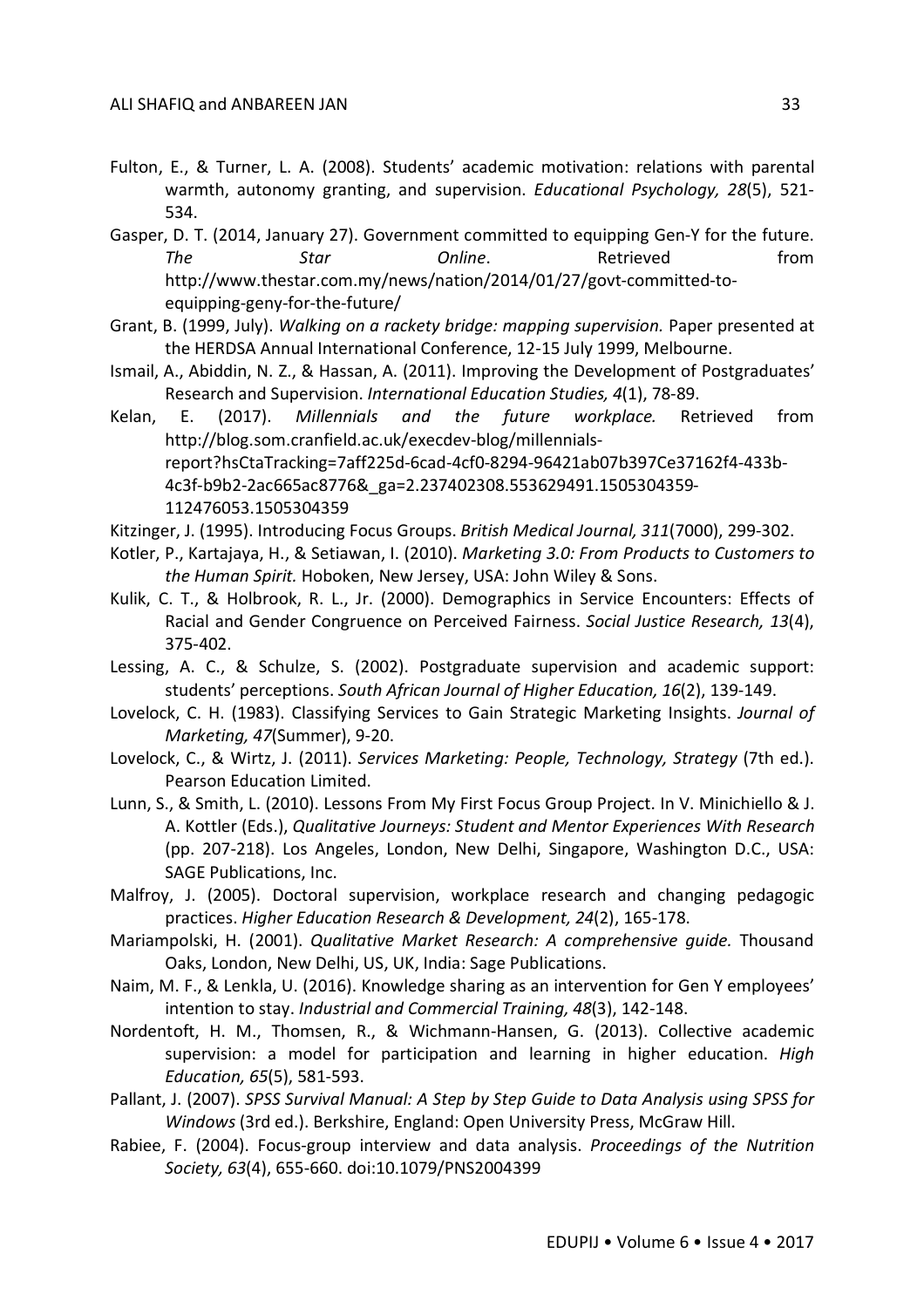- Fulton, E., & Turner, L. A. (2008). Students' academic motivation: relations with parental warmth, autonomy granting, and supervision. *Educational Psychology, 28*(5), 521- 534.
- Gasper, D. T. (2014, January 27). Government committed to equipping Gen-Y for the future. **The Star Star Online.** Retrieved from http://www.thestar.com.my/news/nation/2014/01/27/govt-committed-toequipping-geny-for-the-future/
- Grant, B. (1999, July). *Walking on a rackety bridge: mapping supervision.* Paper presented at the HERDSA Annual International Conference, 12-15 July 1999, Melbourne.
- Ismail, A., Abiddin, N. Z., & Hassan, A. (2011). Improving the Development of Postgraduates' Research and Supervision. *International Education Studies, 4*(1), 78-89.
- Kelan, E. (2017). *Millennials and the future workplace.* Retrieved from http://blog.som.cranfield.ac.uk/execdev-blog/millennialsreport?hsCtaTracking=7aff225d-6cad-4cf0-8294-96421ab07b397Ce37162f4-433b-4c3f-b9b2-2ac665ac8776&\_ga=2.237402308.553629491.1505304359- 112476053.1505304359
- Kitzinger, J. (1995). Introducing Focus Groups. *British Medical Journal, 311*(7000), 299-302.
- Kotler, P., Kartajaya, H., & Setiawan, I. (2010). *Marketing 3.0: From Products to Customers to the Human Spirit.* Hoboken, New Jersey, USA: John Wiley & Sons.
- Kulik, C. T., & Holbrook, R. L., Jr. (2000). Demographics in Service Encounters: Effects of Racial and Gender Congruence on Perceived Fairness. *Social Justice Research, 13*(4), 375-402.
- Lessing, A. C., & Schulze, S. (2002). Postgraduate supervision and academic support: students' perceptions. *South African Journal of Higher Education, 16*(2), 139-149.
- Lovelock, C. H. (1983). Classifying Services to Gain Strategic Marketing Insights. *Journal of Marketing, 47*(Summer), 9-20.
- Lovelock, C., & Wirtz, J. (2011). *Services Marketing: People, Technology, Strategy* (7th ed.). Pearson Education Limited.
- Lunn, S., & Smith, L. (2010). Lessons From My First Focus Group Project. In V. Minichiello & J. A. Kottler (Eds.), *Qualitative Journeys: Student and Mentor Experiences With Research* (pp. 207-218). Los Angeles, London, New Delhi, Singapore, Washington D.C., USA: SAGE Publications, Inc.
- Malfroy, J. (2005). Doctoral supervision, workplace research and changing pedagogic practices. *Higher Education Research & Development, 24*(2), 165-178.
- Mariampolski, H. (2001). *Qualitative Market Research: A comprehensive guide.* Thousand Oaks, London, New Delhi, US, UK, India: Sage Publications.
- Naim, M. F., & Lenkla, U. (2016). Knowledge sharing as an intervention for Gen Y employees' intention to stay. *Industrial and Commercial Training, 48*(3), 142-148.
- Nordentoft, H. M., Thomsen, R., & Wichmann-Hansen, G. (2013). Collective academic supervision: a model for participation and learning in higher education. *High Education, 65*(5), 581-593.
- Pallant, J. (2007). *SPSS Survival Manual: A Step by Step Guide to Data Analysis using SPSS for Windows* (3rd ed.). Berkshire, England: Open University Press, McGraw Hill.
- Rabiee, F. (2004). Focus-group interview and data analysis. *Proceedings of the Nutrition Society, 63*(4), 655-660. doi:10.1079/PNS2004399